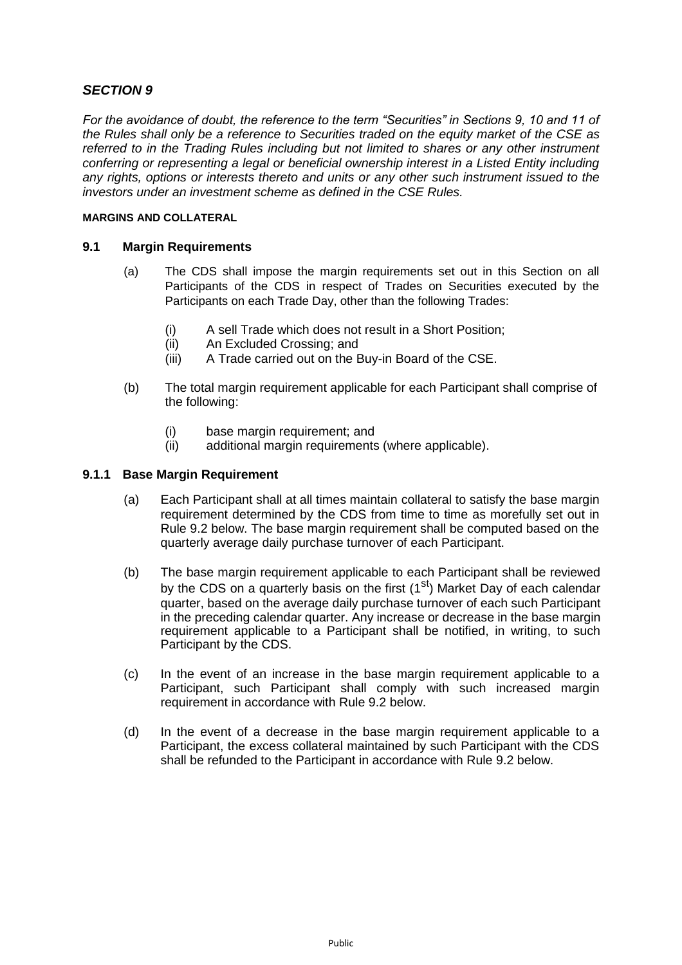# *SECTION 9*

*For the avoidance of doubt, the reference to the term "Securities" in Sections 9, 10 and 11 of the Rules shall only be a reference to Securities traded on the equity market of the CSE as referred to in the Trading Rules including but not limited to shares or any other instrument conferring or representing a legal or beneficial ownership interest in a Listed Entity including any rights, options or interests thereto and units or any other such instrument issued to the investors under an investment scheme as defined in the CSE Rules.*

#### **MARGINS AND COLLATERAL**

# **9.1 Margin Requirements**

- (a) The CDS shall impose the margin requirements set out in this Section on all Participants of the CDS in respect of Trades on Securities executed by the Participants on each Trade Day, other than the following Trades:
	- (i) A sell Trade which does not result in a Short Position;
	- (ii) An Excluded Crossing; and
	- (iii) A Trade carried out on the Buy-in Board of the CSE.
- (b) The total margin requirement applicable for each Participant shall comprise of the following:
	- (i) base margin requirement; and
	- (ii) additional margin requirements (where applicable).

## **9.1.1 Base Margin Requirement**

- (a) Each Participant shall at all times maintain collateral to satisfy the base margin requirement determined by the CDS from time to time as morefully set out in Rule 9.2 below. The base margin requirement shall be computed based on the quarterly average daily purchase turnover of each Participant.
- (b) The base margin requirement applicable to each Participant shall be reviewed by the CDS on a quarterly basis on the first  $(1<sup>st</sup>)$  Market Day of each calendar quarter, based on the average daily purchase turnover of each such Participant in the preceding calendar quarter. Any increase or decrease in the base margin requirement applicable to a Participant shall be notified, in writing, to such Participant by the CDS.
- (c) In the event of an increase in the base margin requirement applicable to a Participant, such Participant shall comply with such increased margin requirement in accordance with Rule 9.2 below.
- (d) In the event of a decrease in the base margin requirement applicable to a Participant, the excess collateral maintained by such Participant with the CDS shall be refunded to the Participant in accordance with Rule 9.2 below.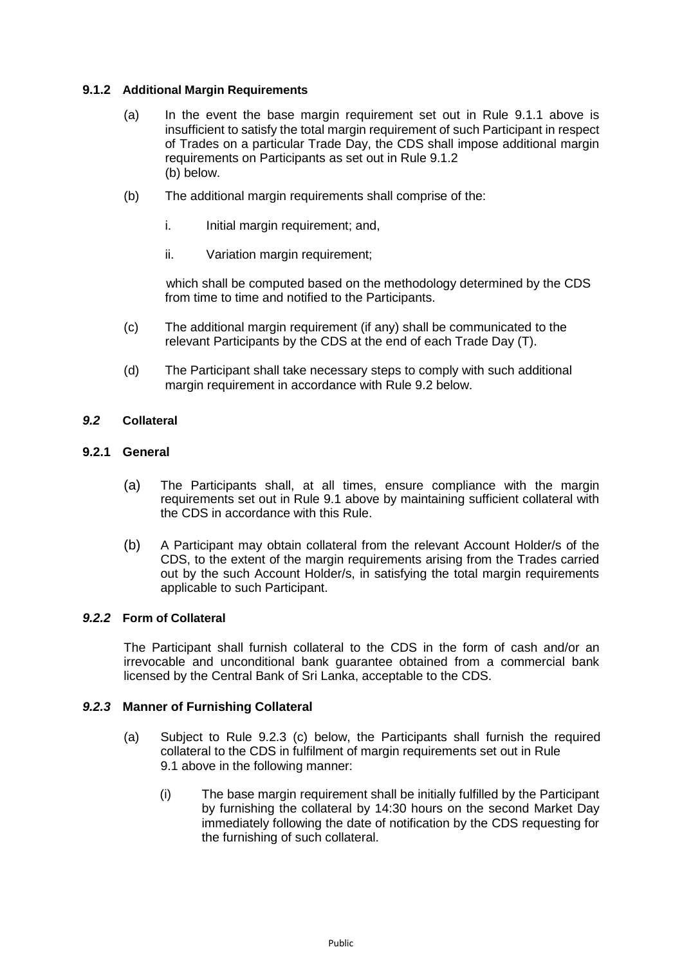## **9.1.2 Additional Margin Requirements**

- (a) In the event the base margin requirement set out in Rule 9.1.1 above is insufficient to satisfy the total margin requirement of such Participant in respect of Trades on a particular Trade Day, the CDS shall impose additional margin requirements on Participants as set out in Rule 9.1.2 (b) below.
- (b) The additional margin requirements shall comprise of the:
	- i. Initial margin requirement; and,
	- ii. Variation margin requirement;

which shall be computed based on the methodology determined by the CDS from time to time and notified to the Participants.

- (c) The additional margin requirement (if any) shall be communicated to the relevant Participants by the CDS at the end of each Trade Day (T).
- (d) The Participant shall take necessary steps to comply with such additional margin requirement in accordance with Rule 9.2 below.

# *9.2* **Collateral**

## **9.2.1 General**

- (a) The Participants shall, at all times, ensure compliance with the margin requirements set out in Rule 9.1 above by maintaining sufficient collateral with the CDS in accordance with this Rule.
- (b) A Participant may obtain collateral from the relevant Account Holder/s of the CDS, to the extent of the margin requirements arising from the Trades carried out by the such Account Holder/s, in satisfying the total margin requirements applicable to such Participant.

#### *9.2.2* **Form of Collateral**

The Participant shall furnish collateral to the CDS in the form of cash and/or an irrevocable and unconditional bank guarantee obtained from a commercial bank licensed by the Central Bank of Sri Lanka, acceptable to the CDS.

#### *9.2.3* **Manner of Furnishing Collateral**

- (a) Subject to Rule 9.2.3 (c) below, the Participants shall furnish the required collateral to the CDS in fulfilment of margin requirements set out in Rule 9.1 above in the following manner:
	- (i) The base margin requirement shall be initially fulfilled by the Participant by furnishing the collateral by 14:30 hours on the second Market Day immediately following the date of notification by the CDS requesting for the furnishing of such collateral.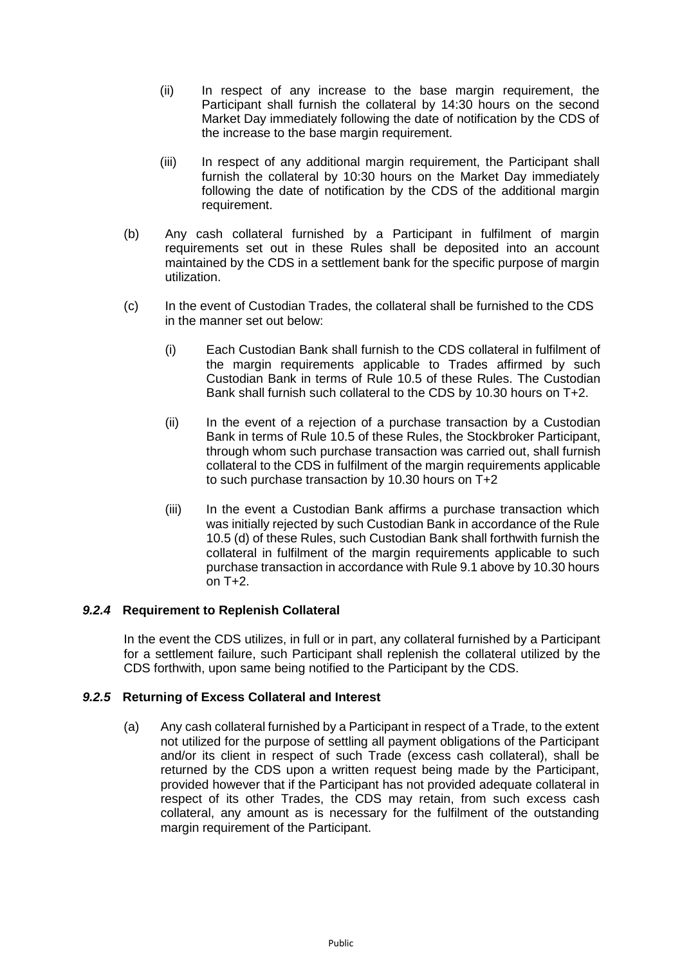- (ii) In respect of any increase to the base margin requirement, the Participant shall furnish the collateral by 14:30 hours on the second Market Day immediately following the date of notification by the CDS of the increase to the base margin requirement.
- (iii) In respect of any additional margin requirement, the Participant shall furnish the collateral by 10:30 hours on the Market Day immediately following the date of notification by the CDS of the additional margin requirement.
- (b) Any cash collateral furnished by a Participant in fulfilment of margin requirements set out in these Rules shall be deposited into an account maintained by the CDS in a settlement bank for the specific purpose of margin utilization.
- (c) In the event of Custodian Trades, the collateral shall be furnished to the CDS in the manner set out below:
	- (i) Each Custodian Bank shall furnish to the CDS collateral in fulfilment of the margin requirements applicable to Trades affirmed by such Custodian Bank in terms of Rule 10.5 of these Rules. The Custodian Bank shall furnish such collateral to the CDS by 10.30 hours on T+2.
	- (ii) In the event of a rejection of a purchase transaction by a Custodian Bank in terms of Rule 10.5 of these Rules, the Stockbroker Participant, through whom such purchase transaction was carried out, shall furnish collateral to the CDS in fulfilment of the margin requirements applicable to such purchase transaction by 10.30 hours on T+2
	- (iii) In the event a Custodian Bank affirms a purchase transaction which was initially rejected by such Custodian Bank in accordance of the Rule 10.5 (d) of these Rules, such Custodian Bank shall forthwith furnish the collateral in fulfilment of the margin requirements applicable to such purchase transaction in accordance with Rule 9.1 above by 10.30 hours on T+2.

# *9.2.4* **Requirement to Replenish Collateral**

In the event the CDS utilizes, in full or in part, any collateral furnished by a Participant for a settlement failure, such Participant shall replenish the collateral utilized by the CDS forthwith, upon same being notified to the Participant by the CDS.

# *9.2.5* **Returning of Excess Collateral and Interest**

(a) Any cash collateral furnished by a Participant in respect of a Trade, to the extent not utilized for the purpose of settling all payment obligations of the Participant and/or its client in respect of such Trade (excess cash collateral), shall be returned by the CDS upon a written request being made by the Participant, provided however that if the Participant has not provided adequate collateral in respect of its other Trades, the CDS may retain, from such excess cash collateral, any amount as is necessary for the fulfilment of the outstanding margin requirement of the Participant.